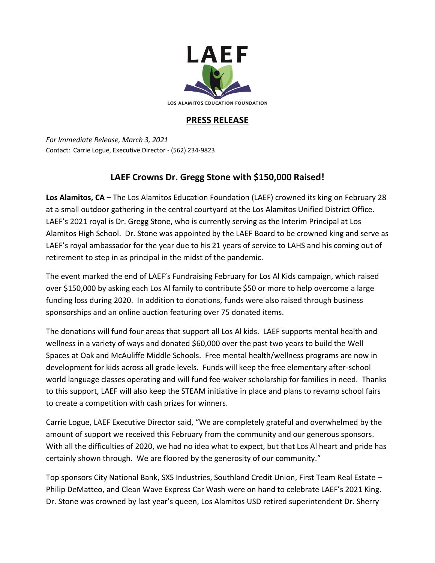

## **PRESS RELEASE**

*For Immediate Release, March 3, 2021* Contact: Carrie Logue, Executive Director - (562) 234-9823

## **LAEF Crowns Dr. Gregg Stone with \$150,000 Raised!**

**Los Alamitos, CA –** The Los Alamitos Education Foundation (LAEF) crowned its king on February 28 at a small outdoor gathering in the central courtyard at the Los Alamitos Unified District Office. LAEF's 2021 royal is Dr. Gregg Stone, who is currently serving as the Interim Principal at Los Alamitos High School. Dr. Stone was appointed by the LAEF Board to be crowned king and serve as LAEF's royal ambassador for the year due to his 21 years of service to LAHS and his coming out of retirement to step in as principal in the midst of the pandemic.

The event marked the end of LAEF's Fundraising February for Los Al Kids campaign, which raised over \$150,000 by asking each Los Al family to contribute \$50 or more to help overcome a large funding loss during 2020. In addition to donations, funds were also raised through business sponsorships and an online auction featuring over 75 donated items.

The donations will fund four areas that support all Los Al kids. LAEF supports mental health and wellness in a variety of ways and donated \$60,000 over the past two years to build the Well Spaces at Oak and McAuliffe Middle Schools. Free mental health/wellness programs are now in development for kids across all grade levels. Funds will keep the free elementary after-school world language classes operating and will fund fee-waiver scholarship for families in need. Thanks to this support, LAEF will also keep the STEAM initiative in place and plans to revamp school fairs to create a competition with cash prizes for winners.

Carrie Logue, LAEF Executive Director said, "We are completely grateful and overwhelmed by the amount of support we received this February from the community and our generous sponsors. With all the difficulties of 2020, we had no idea what to expect, but that Los Al heart and pride has certainly shown through. We are floored by the generosity of our community."

Top sponsors City National Bank, SXS Industries, Southland Credit Union, First Team Real Estate – Philip DeMatteo, and Clean Wave Express Car Wash were on hand to celebrate LAEF's 2021 King. Dr. Stone was crowned by last year's queen, Los Alamitos USD retired superintendent Dr. Sherry